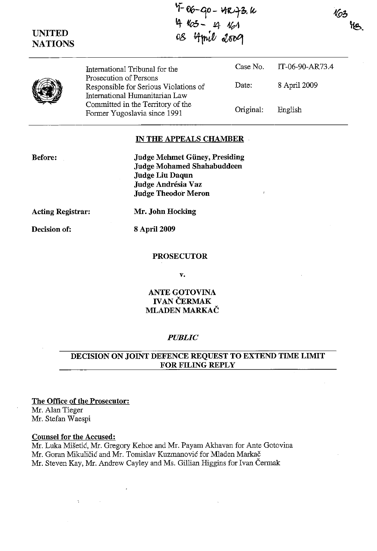163

| <b>UNITED</b><br><b>NATIONS</b> | 4 163 - 14 161<br>08 4 mil 2009                                                                   |           |                 |
|---------------------------------|---------------------------------------------------------------------------------------------------|-----------|-----------------|
|                                 | International Tribunal for the                                                                    | Case No.  | IT-06-90-AR73.4 |
|                                 | Prosecution of Persons<br>Responsible for Serious Violations of<br>International Humanitarian Law | Date:     | 8 April 2009    |
|                                 | Committed in the Territory of the<br>Former Yugoslavia since 1991                                 | Original: | English         |

~:. *%-40* **- ¥ttvtl7, !(;** 

#### **IN THE APPEALS CHAMBER**

**Before:** 

**Judge Mehmet Guney, Presiding Judge Mohamed Shahabuddeen Judge Liu Daqun Judge Andresia** Vaz **Judge Theodor Meron** 

**Acting Registrar: Mr. John Hocking** 

**Decision of: 8** April 2009

#### **PROSECUTOR**

v.

# **ANTE GOTOVINA IVAN ČERMAK MLADEN MARKAC**

# *PUBLIC*

# **DECISION ON JOINT DEFENCE REQUEST TO EXTEND TIME LIMIT FOR FILING REPLY**

The **Office of the Prosecutor:**  Mr. Alan Tieger

Mr. Stefan Waespi

#### **Counsel for the Accused:**

Mr. Luka Misetic, Mr. Gregory Kehoe and Mr. Payam Akhavan for Ante Gotovina Mr. Goran Mikuličić and Mr. Tomislav Kuzmanović for Mladen Markač Mr. Steven Kay, Mr. Andrew Cayley and Ms. Gillian Higgins for Ivan Cermak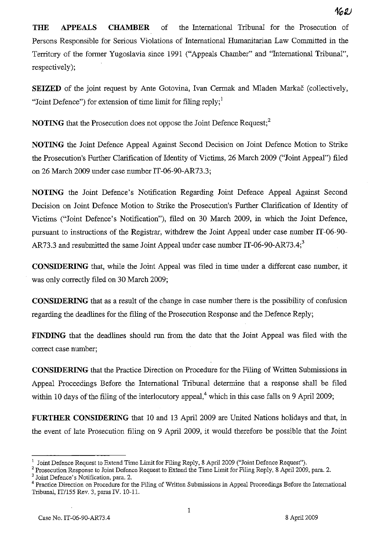**THE APPEALS CHAMBER** of the International Tribunal for the Prosecution of Persons Responsible for Serious Violations of International Humanitarian Law Committed in the Territory of the former Yugoslavia since 1991 ("Appeals Chamber" and "International Tribunal", respectively);

**SEIZED** of the joint request by Ante Gotovina, Ivan Cermak and Mladen Markač (collectively, "Joint Defence") for extension of time limit for filing reply; $<sup>1</sup>$ </sup>

**NOTING** that the Prosecution does not oppose the Joint Defence Request:<sup>2</sup>

**NOTING** the Joint Defence Appeal Against Second Decision on Joint Defence Motion to Strike the Prosecution's Further Clarification of Identity of Victims, 26 March 2009 ("Joint Appeal") filed on 26 March 2009 under case number IT-06-90-AR73.3;

**NOTING** the Joint Defence's Notification Regarding Joint Defence Appeal Against Second Decision on Joint Defence Motion to Strike the Prosecution's Further Clarification of Identity of Victims ("Joint Defence's Notification"), filed on 30 March 2009, in which the Joint Defence, pursuant to instructions of the Registrar, withdrew the Joint Appeal under case number IT -06-90- AR73.3 and resubmitted the same Joint Appeal under case number IT-06-90-AR73.4;<sup>3</sup>

**CONSIDERING** that, while the Joint Appeal was filed in time nnder a different case number, it was only correctly filed on 30 March 2009;

**CONSIDERING** that as a result of the change in case number there is the possibility of confusion regarding the deadlines for the filing of the Prosecution Response and the Defence Reply;

**FINDING** that the deadlines should run from the date that the Joint Appeal was filed with the correct case number;

**CONSIDERING** that the Practice Direction on Procedure for the Filing of Written Submissions in Appeal Proceedings Before the International Tribunal determine that a response shall be filed within 10 days of the filing of the interlocutory appeal,<sup>4</sup> which in this case falls on 9 April 2009;

**FURTHER CONSIDERING** that 10 and 13 April 2009 are United Nations holidays and that, in the event of late Prosecution filing on 9 April 2009, it would therefore be possible that the Joint

Joint Defence's Notification, para. 2.

<sup>1</sup> Joint Defence Request to Extend Time Limit for Filing Reply, 8 April 2009 ("Joint Defence Request").

<sup>&</sup>lt;sup>2</sup> Prosecution Response to Joint Defence Request to Extend the Time Limit for Filing Reply, 8 April 2009, para. 2.

<sup>&</sup>lt;sup>4</sup> Practice Direction on Procedure for the Filing of Written Submissions in Appeal Proceedings Before the International Tribunal, IT/155 Rev. 3, paras N. 10-11.